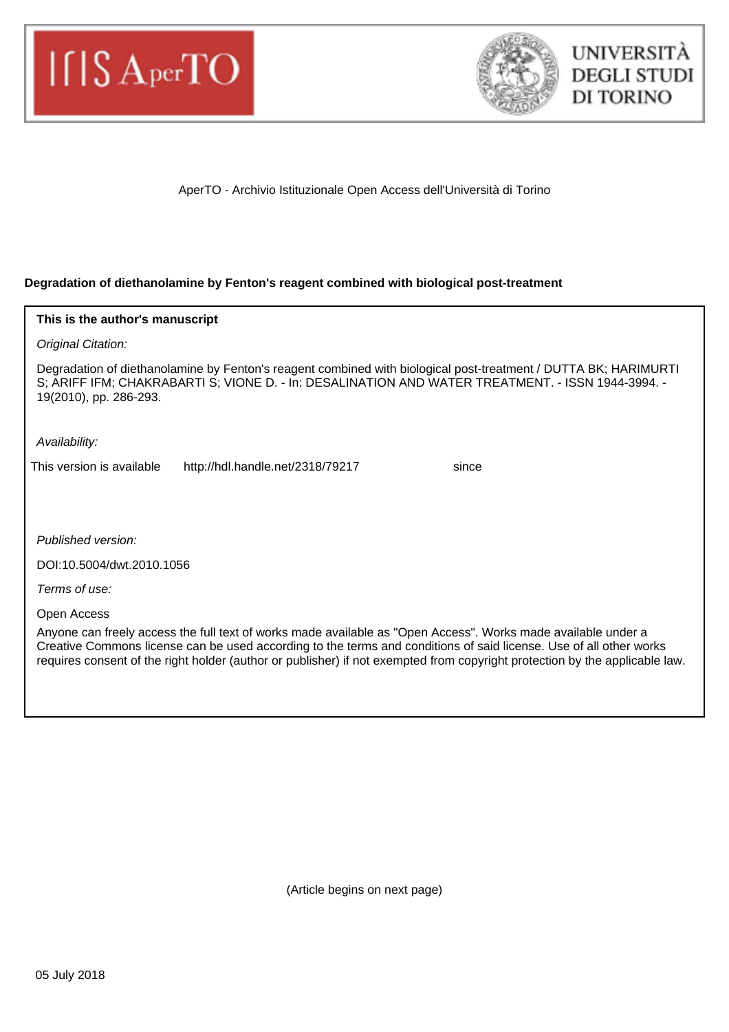



AperTO - Archivio Istituzionale Open Access dell'Università di Torino

# **Degradation of diethanolamine by Fenton's reagent combined with biological post-treatment**

| This is the author's manuscript                                                                                                                                                                                                                                                                                                                                    |
|--------------------------------------------------------------------------------------------------------------------------------------------------------------------------------------------------------------------------------------------------------------------------------------------------------------------------------------------------------------------|
| Original Citation:                                                                                                                                                                                                                                                                                                                                                 |
| Degradation of diethanolamine by Fenton's reagent combined with biological post-treatment / DUTTA BK; HARIMURTI<br>S; ARIFF IFM; CHAKRABARTI S; VIONE D. - In: DESALINATION AND WATER TREATMENT. - ISSN 1944-3994. -<br>19(2010), pp. 286-293.                                                                                                                     |
| Availability:                                                                                                                                                                                                                                                                                                                                                      |
| This version is available<br>http://hdl.handle.net/2318/79217<br>since                                                                                                                                                                                                                                                                                             |
|                                                                                                                                                                                                                                                                                                                                                                    |
|                                                                                                                                                                                                                                                                                                                                                                    |
| Published version:                                                                                                                                                                                                                                                                                                                                                 |
| DOI:10.5004/dwt.2010.1056                                                                                                                                                                                                                                                                                                                                          |
| Terms of use:                                                                                                                                                                                                                                                                                                                                                      |
| Open Access                                                                                                                                                                                                                                                                                                                                                        |
| Anyone can freely access the full text of works made available as "Open Access". Works made available under a<br>Creative Commons license can be used according to the terms and conditions of said license. Use of all other works<br>requires consent of the right holder (author or publisher) if not exempted from copyright protection by the applicable law. |

(Article begins on next page)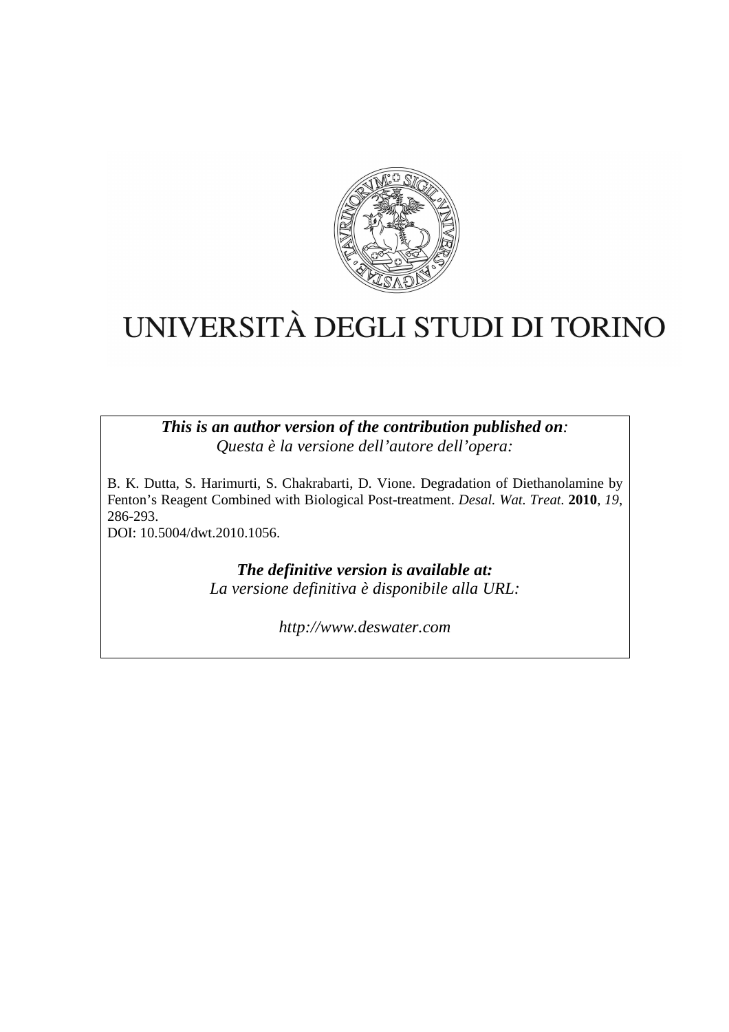

# UNIVERSITÀ DEGLI STUDI DI TORINO

*This is an author version of the contribution published on: Questa è la versione dell'autore dell'opera:* 

B. K. Dutta, S. Harimurti, S. Chakrabarti, D. Vione. Degradation of Diethanolamine by Fenton's Reagent Combined with Biological Post-treatment. *Desal. Wat. Treat.* **2010**, *19*, 286-293. DOI: 10.5004/dwt.2010.1056.

> *The definitive version is available at: La versione definitiva è disponibile alla URL:*

> > *http://www.deswater.com*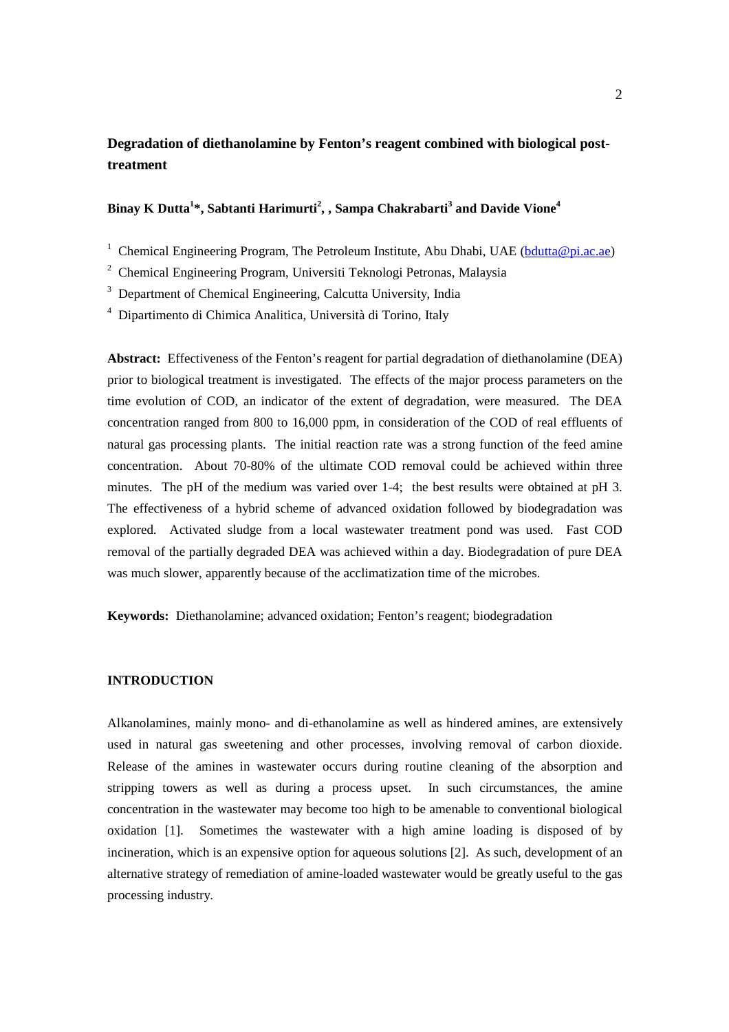# **Degradation of diethanolamine by Fenton's reagent combined with biological posttreatment**

# **Binay K Dutta<sup>1</sup> \*, Sabtanti Harimurti<sup>2</sup> , , Sampa Chakrabarti<sup>3</sup> and Davide Vione<sup>4</sup>**

<sup>1</sup> Chemical Engineering Program, The Petroleum Institute, Abu Dhabi, UAE (bdutta@pi.ac.ae)

<sup>2</sup> Chemical Engineering Program, Universiti Teknologi Petronas, Malaysia

<sup>3</sup> Department of Chemical Engineering, Calcutta University, India

4 Dipartimento di Chimica Analitica, Università di Torino, Italy

**Abstract:** Effectiveness of the Fenton's reagent for partial degradation of diethanolamine (DEA) prior to biological treatment is investigated. The effects of the major process parameters on the time evolution of COD, an indicator of the extent of degradation, were measured. The DEA concentration ranged from 800 to 16,000 ppm, in consideration of the COD of real effluents of natural gas processing plants. The initial reaction rate was a strong function of the feed amine concentration. About 70-80% of the ultimate COD removal could be achieved within three minutes. The pH of the medium was varied over 1-4; the best results were obtained at pH 3. The effectiveness of a hybrid scheme of advanced oxidation followed by biodegradation was explored. Activated sludge from a local wastewater treatment pond was used. Fast COD removal of the partially degraded DEA was achieved within a day. Biodegradation of pure DEA was much slower, apparently because of the acclimatization time of the microbes.

**Keywords:** Diethanolamine; advanced oxidation; Fenton's reagent; biodegradation

# **INTRODUCTION**

Alkanolamines, mainly mono- and di-ethanolamine as well as hindered amines, are extensively used in natural gas sweetening and other processes, involving removal of carbon dioxide. Release of the amines in wastewater occurs during routine cleaning of the absorption and stripping towers as well as during a process upset. In such circumstances, the amine concentration in the wastewater may become too high to be amenable to conventional biological oxidation [1]. Sometimes the wastewater with a high amine loading is disposed of by incineration, which is an expensive option for aqueous solutions [2]. As such, development of an alternative strategy of remediation of amine-loaded wastewater would be greatly useful to the gas processing industry.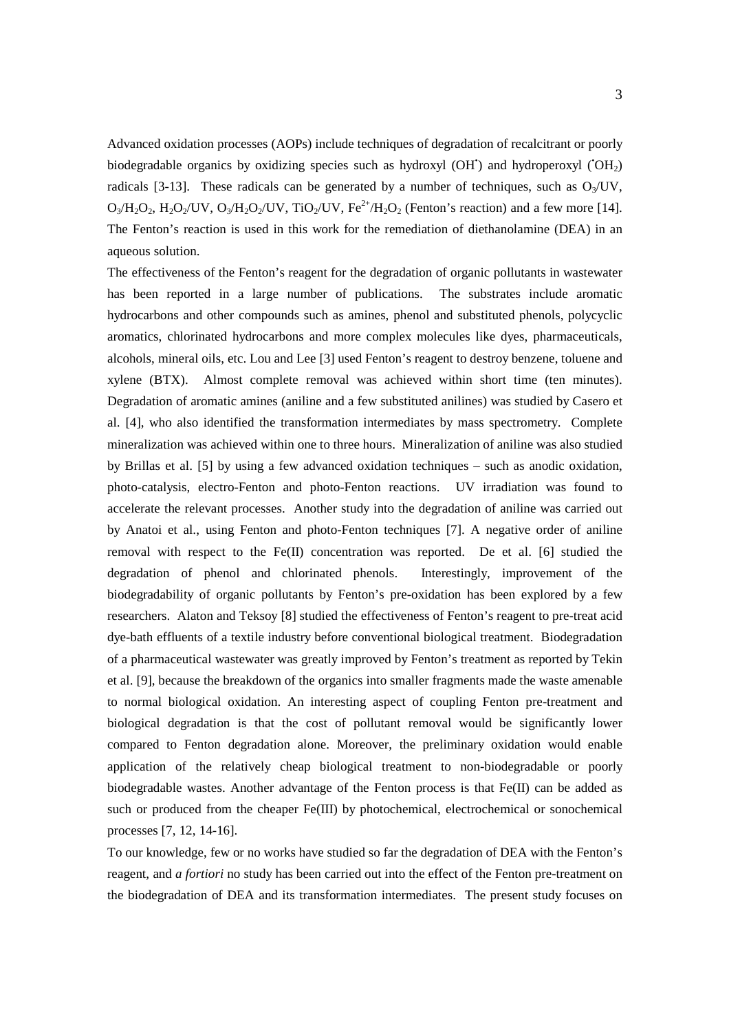Advanced oxidation processes (AOPs) include techniques of degradation of recalcitrant or poorly biodegradable organics by oxidizing species such as hydroxyl (OH<sup>\*</sup>) and hydroperoxyl ( $OH<sub>2</sub>$ ) radicals [3-13]. These radicals can be generated by a number of techniques, such as  $O<sub>3</sub>/UV$ ,  $O_3/H_2O_2$ ,  $H_2O_2/UV$ ,  $O_3/H_2O_2/UV$ ,  $TiO_2/UV$ ,  $Fe^{2+}/H_2O_2$  (Fenton's reaction) and a few more [14]. The Fenton's reaction is used in this work for the remediation of diethanolamine (DEA) in an aqueous solution.

The effectiveness of the Fenton's reagent for the degradation of organic pollutants in wastewater has been reported in a large number of publications. The substrates include aromatic hydrocarbons and other compounds such as amines, phenol and substituted phenols, polycyclic aromatics, chlorinated hydrocarbons and more complex molecules like dyes, pharmaceuticals, alcohols, mineral oils, etc. Lou and Lee [3] used Fenton's reagent to destroy benzene, toluene and xylene (BTX). Almost complete removal was achieved within short time (ten minutes). Degradation of aromatic amines (aniline and a few substituted anilines) was studied by Casero et al. [4], who also identified the transformation intermediates by mass spectrometry. Complete mineralization was achieved within one to three hours. Mineralization of aniline was also studied by Brillas et al. [5] by using a few advanced oxidation techniques – such as anodic oxidation, photo-catalysis, electro-Fenton and photo-Fenton reactions. UV irradiation was found to accelerate the relevant processes. Another study into the degradation of aniline was carried out by Anatoi et al., using Fenton and photo-Fenton techniques [7]. A negative order of aniline removal with respect to the  $Fe(II)$  concentration was reported. De et al. [6] studied the degradation of phenol and chlorinated phenols. Interestingly, improvement of the biodegradability of organic pollutants by Fenton's pre-oxidation has been explored by a few researchers. Alaton and Teksoy [8] studied the effectiveness of Fenton's reagent to pre-treat acid dye-bath effluents of a textile industry before conventional biological treatment. Biodegradation of a pharmaceutical wastewater was greatly improved by Fenton's treatment as reported by Tekin et al. [9], because the breakdown of the organics into smaller fragments made the waste amenable to normal biological oxidation. An interesting aspect of coupling Fenton pre-treatment and biological degradation is that the cost of pollutant removal would be significantly lower compared to Fenton degradation alone. Moreover, the preliminary oxidation would enable application of the relatively cheap biological treatment to non-biodegradable or poorly biodegradable wastes. Another advantage of the Fenton process is that  $Fe(II)$  can be added as such or produced from the cheaper Fe(III) by photochemical, electrochemical or sonochemical processes [7, 12, 14-16].

To our knowledge, few or no works have studied so far the degradation of DEA with the Fenton's reagent, and *a fortiori* no study has been carried out into the effect of the Fenton pre-treatment on the biodegradation of DEA and its transformation intermediates. The present study focuses on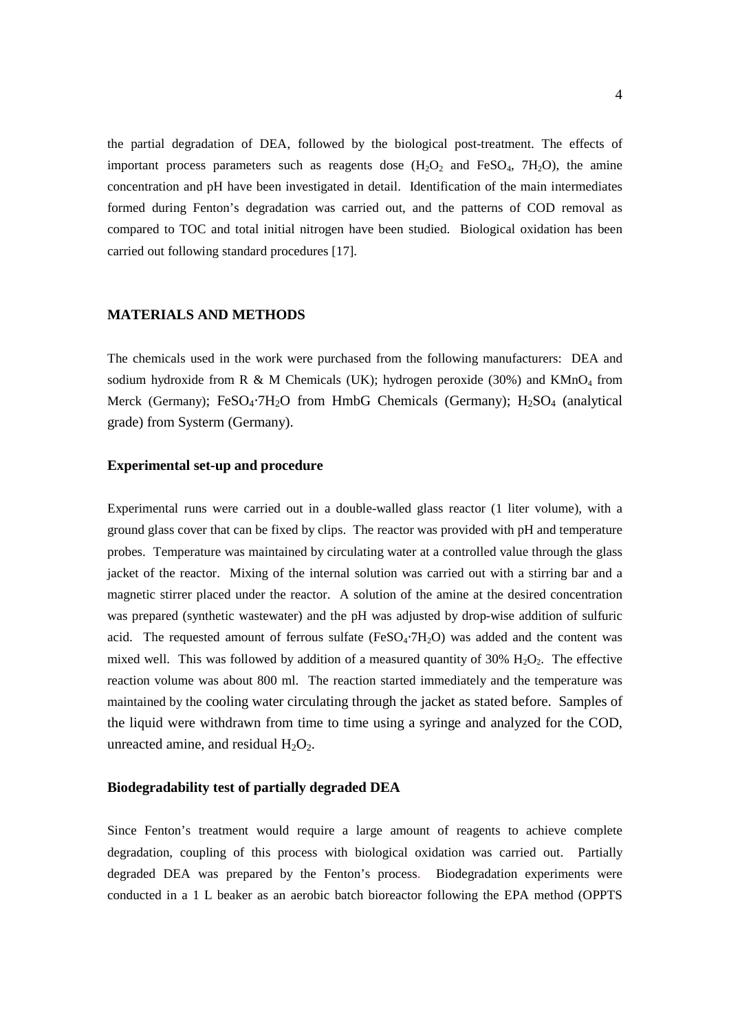the partial degradation of DEA, followed by the biological post-treatment. The effects of important process parameters such as reagents dose  $(H_2O_2$  and FeSO<sub>4</sub>, 7H<sub>2</sub>O), the amine concentration and pH have been investigated in detail. Identification of the main intermediates formed during Fenton's degradation was carried out, and the patterns of COD removal as compared to TOC and total initial nitrogen have been studied. Biological oxidation has been carried out following standard procedures [17].

## **MATERIALS AND METHODS**

The chemicals used in the work were purchased from the following manufacturers: DEA and sodium hydroxide from R & M Chemicals (UK); hydrogen peroxide (30%) and  $KMnO<sub>4</sub>$  from Merck (Germany); FeSO<sub>4</sub>⋅7H<sub>2</sub>O from HmbG Chemicals (Germany); H<sub>2</sub>SO<sub>4</sub> (analytical grade) from Systerm (Germany).

# **Experimental set-up and procedure**

Experimental runs were carried out in a double-walled glass reactor (1 liter volume), with a ground glass cover that can be fixed by clips. The reactor was provided with pH and temperature probes. Temperature was maintained by circulating water at a controlled value through the glass jacket of the reactor. Mixing of the internal solution was carried out with a stirring bar and a magnetic stirrer placed under the reactor. A solution of the amine at the desired concentration was prepared (synthetic wastewater) and the pH was adjusted by drop-wise addition of sulfuric acid. The requested amount of ferrous sulfate ( $FeSO<sub>4</sub>·7H<sub>2</sub>O$ ) was added and the content was mixed well. This was followed by addition of a measured quantity of  $30\%$  H<sub>2</sub>O<sub>2</sub>. The effective reaction volume was about 800 ml. The reaction started immediately and the temperature was maintained by the cooling water circulating through the jacket as stated before. Samples of the liquid were withdrawn from time to time using a syringe and analyzed for the COD, unreacted amine, and residual  $H_2O_2$ .

# **Biodegradability test of partially degraded DEA**

Since Fenton's treatment would require a large amount of reagents to achieve complete degradation, coupling of this process with biological oxidation was carried out. Partially degraded DEA was prepared by the Fenton's process. Biodegradation experiments were conducted in a 1 L beaker as an aerobic batch bioreactor following the EPA method (OPPTS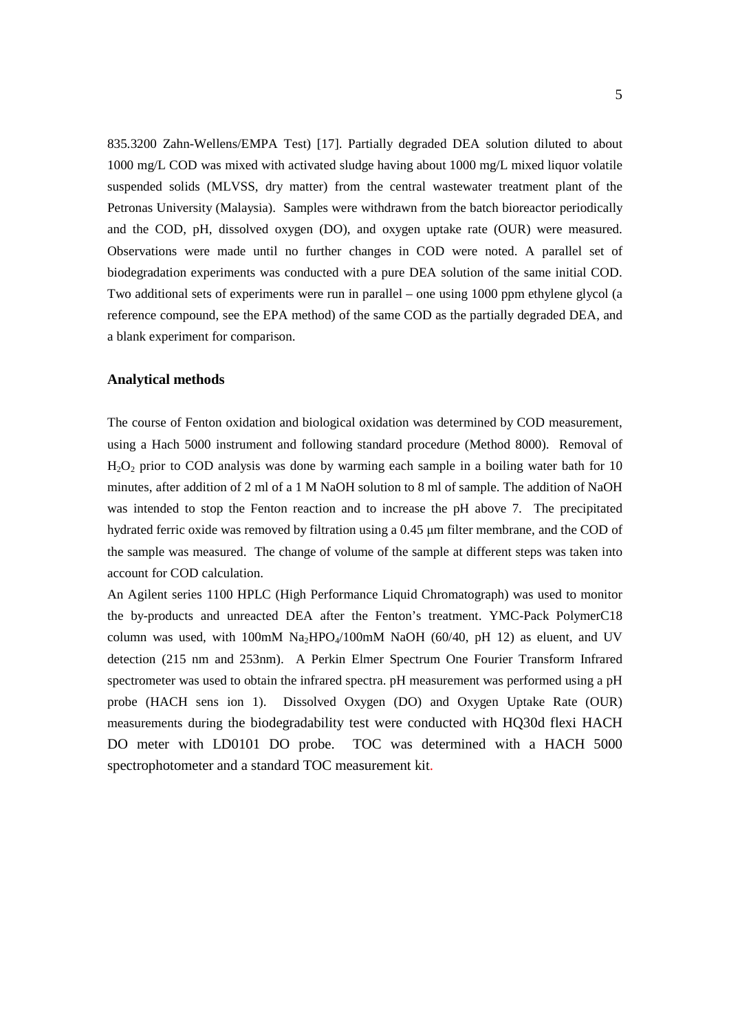835.3200 Zahn-Wellens/EMPA Test) [17]. Partially degraded DEA solution diluted to about 1000 mg/L COD was mixed with activated sludge having about 1000 mg/L mixed liquor volatile suspended solids (MLVSS, dry matter) from the central wastewater treatment plant of the Petronas University (Malaysia). Samples were withdrawn from the batch bioreactor periodically and the COD, pH, dissolved oxygen (DO), and oxygen uptake rate (OUR) were measured. Observations were made until no further changes in COD were noted. A parallel set of biodegradation experiments was conducted with a pure DEA solution of the same initial COD. Two additional sets of experiments were run in parallel – one using 1000 ppm ethylene glycol (a reference compound, see the EPA method) of the same COD as the partially degraded DEA, and a blank experiment for comparison.

#### **Analytical methods**

The course of Fenton oxidation and biological oxidation was determined by COD measurement, using a Hach 5000 instrument and following standard procedure (Method 8000). Removal of  $H_2O_2$  prior to COD analysis was done by warming each sample in a boiling water bath for 10 minutes, after addition of 2 ml of a 1 M NaOH solution to 8 ml of sample. The addition of NaOH was intended to stop the Fenton reaction and to increase the pH above 7. The precipitated hydrated ferric oxide was removed by filtration using a 0.45  $\mu$ m filter membrane, and the COD of the sample was measured. The change of volume of the sample at different steps was taken into account for COD calculation.

An Agilent series 1100 HPLC (High Performance Liquid Chromatograph) was used to monitor the by-products and unreacted DEA after the Fenton's treatment. YMC-Pack PolymerC18 column was used, with 100mM Na<sub>2</sub>HPO<sub>4</sub>/100mM NaOH (60/40, pH 12) as eluent, and UV detection (215 nm and 253nm). A Perkin Elmer Spectrum One Fourier Transform Infrared spectrometer was used to obtain the infrared spectra. pH measurement was performed using a pH probe (HACH sens ion 1). Dissolved Oxygen (DO) and Oxygen Uptake Rate (OUR) measurements during the biodegradability test were conducted with HQ30d flexi HACH DO meter with LD0101 DO probe. TOC was determined with a HACH 5000 spectrophotometer and a standard TOC measurement kit.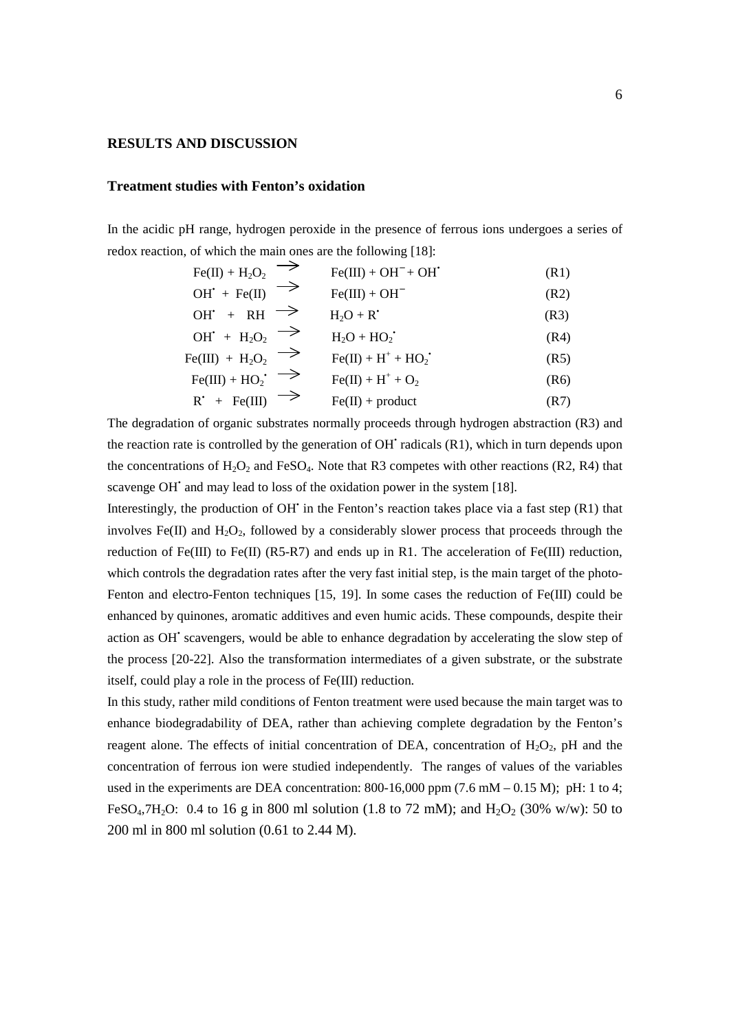# **RESULTS AND DISCUSSION**

## **Treatment studies with Fenton's oxidation**

In the acidic pH range, hydrogen peroxide in the presence of ferrous ions undergoes a series of redox reaction, of which the main ones are the following [18]:

| $Fe(II) + H_2O_2$  | $Fe(III) + OH^+ + OH^+$ | $(R1)$ |
|--------------------|-------------------------|--------|
| $OH^+ + Fe(II)$    | $He(III) + OH^-$        | $(R2)$ |
| $OH^+ + RH$        | $H_2O + R^+$            | $(R3)$ |
| $OH^+ + H_2O_2$    | $H_2O + HO_2^+$         | $(R4)$ |
| $Fe(III) + H_2O_2$ | $Fe(II) + H^+ + HO_2^+$ | $(R5)$ |
| $Fe(III) + HO_2^+$ | $Fe(II) + H^+ + O_2$    | $(R6)$ |
| $R^* + Fe(III)$    | $Fe(II) + product$      | $(R7)$ |

The degradation of organic substrates normally proceeds through hydrogen abstraction (R3) and the reaction rate is controlled by the generation of  $OH^{\dagger}$  radicals  $(R1)$ , which in turn depends upon the concentrations of  $H_2O_2$  and FeSO<sub>4</sub>. Note that R3 competes with other reactions (R2, R4) that scavenge OH<sup>\*</sup> and may lead to loss of the oxidation power in the system [18].

Interestingly, the production of OH' in the Fenton's reaction takes place via a fast step (R1) that involves Fe(II) and  $H_2O_2$ , followed by a considerably slower process that proceeds through the reduction of Fe(III) to Fe(II) (R5-R7) and ends up in R1. The acceleration of Fe(III) reduction, which controls the degradation rates after the very fast initial step, is the main target of the photo-Fenton and electro-Fenton techniques [15, 19]. In some cases the reduction of Fe(III) could be enhanced by quinones, aromatic additives and even humic acids. These compounds, despite their action as OH<sup>\*</sup> scavengers, would be able to enhance degradation by accelerating the slow step of the process [20-22]. Also the transformation intermediates of a given substrate, or the substrate itself, could play a role in the process of Fe(III) reduction.

In this study, rather mild conditions of Fenton treatment were used because the main target was to enhance biodegradability of DEA, rather than achieving complete degradation by the Fenton's reagent alone. The effects of initial concentration of DEA, concentration of  $H_2O_2$ , pH and the concentration of ferrous ion were studied independently. The ranges of values of the variables used in the experiments are DEA concentration:  $800-16,000$  ppm  $(7.6 \text{ mM} - 0.15 \text{ M})$ ; pH: 1 to 4; FeSO<sub>4</sub>,7H<sub>2</sub>O: 0.4 to 16 g in 800 ml solution (1.8 to 72 mM); and H<sub>2</sub>O<sub>2</sub> (30% w/w): 50 to 200 ml in 800 ml solution (0.61 to 2.44 M).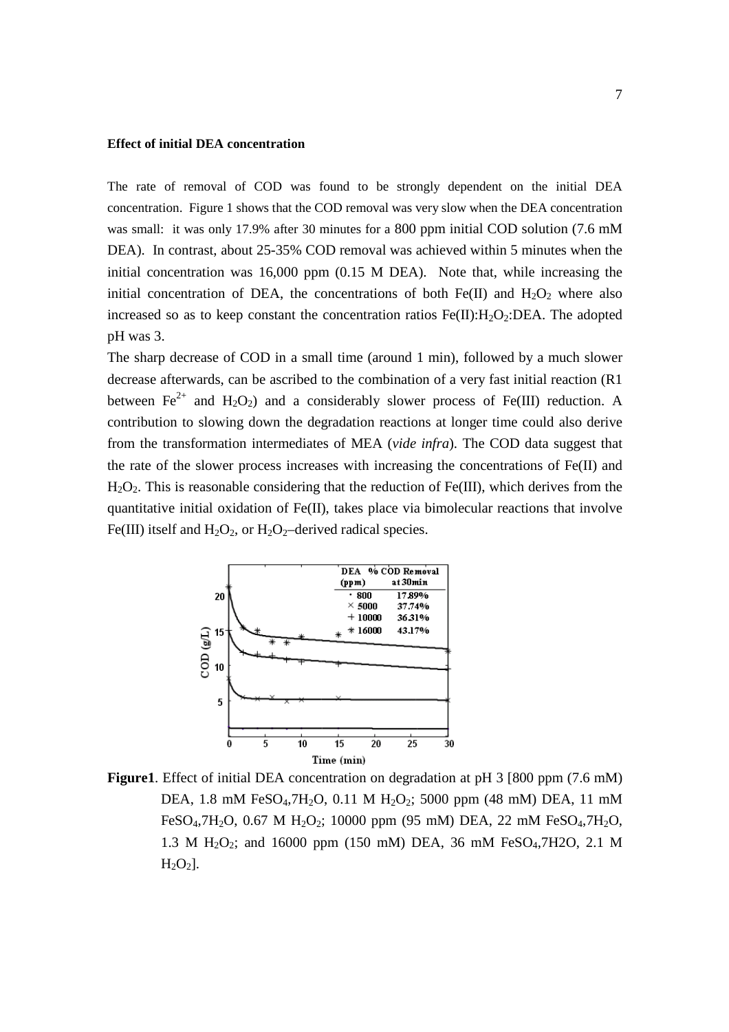#### **Effect of initial DEA concentration**

The rate of removal of COD was found to be strongly dependent on the initial DEA concentration. Figure 1 shows that the COD removal was very slow when the DEA concentration was small: it was only 17.9% after 30 minutes for a 800 ppm initial COD solution (7.6 mM DEA). In contrast, about 25-35% COD removal was achieved within 5 minutes when the initial concentration was 16,000 ppm (0.15 M DEA). Note that, while increasing the initial concentration of DEA, the concentrations of both Fe(II) and  $H_2O_2$  where also increased so as to keep constant the concentration ratios  $Fe(II):H_2O_2:DEA$ . The adopted pH was 3.

The sharp decrease of COD in a small time (around 1 min), followed by a much slower decrease afterwards, can be ascribed to the combination of a very fast initial reaction (R1 between  $Fe^{2+}$  and  $H_2O_2$ ) and a considerably slower process of Fe(III) reduction. A contribution to slowing down the degradation reactions at longer time could also derive from the transformation intermediates of MEA (*vide infra*). The COD data suggest that the rate of the slower process increases with increasing the concentrations of  $Fe(II)$  and  $H_2O_2$ . This is reasonable considering that the reduction of Fe(III), which derives from the quantitative initial oxidation of Fe(II), takes place via bimolecular reactions that involve Fe(III) itself and  $H_2O_2$ , or  $H_2O_2$ –derived radical species.



**Figure1**. Effect of initial DEA concentration on degradation at pH 3 [800 ppm (7.6 mM) DEA, 1.8 mM FeSO<sub>4</sub>,7H<sub>2</sub>O, 0.11 M H<sub>2</sub>O<sub>2</sub>; 5000 ppm (48 mM) DEA, 11 mM FeSO<sub>4</sub>,7H<sub>2</sub>O, 0.67 M H<sub>2</sub>O<sub>2</sub>; 10000 ppm (95 mM) DEA, 22 mM FeSO<sub>4</sub>,7H<sub>2</sub>O, 1.3 M H<sub>2</sub>O<sub>2</sub>; and 16000 ppm (150 mM) DEA, 36 mM FeSO<sub>4</sub>,7H2O, 2.1 M  $H<sub>2</sub>O<sub>2</sub>$ ].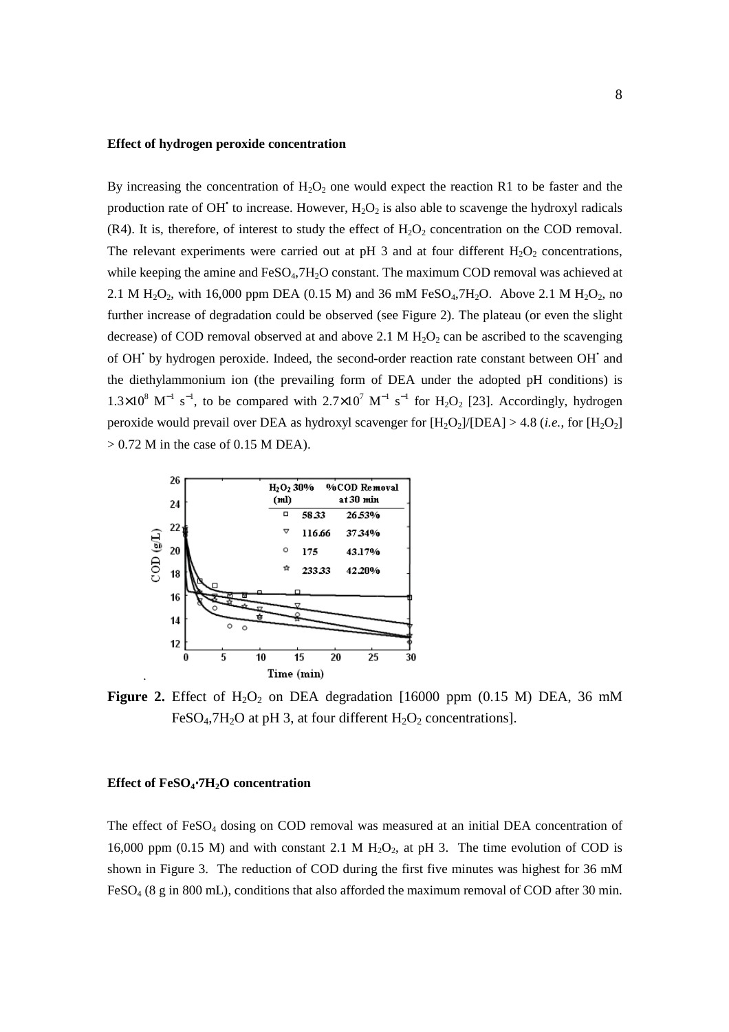#### **Effect of hydrogen peroxide concentration**

By increasing the concentration of  $H_2O_2$  one would expect the reaction R1 to be faster and the production rate of OH<sup> $\cdot$ </sup> to increase. However,  $H_2O_2$  is also able to scavenge the hydroxyl radicals (R4). It is, therefore, of interest to study the effect of  $H_2O_2$  concentration on the COD removal. The relevant experiments were carried out at pH 3 and at four different  $H_2O_2$  concentrations, while keeping the amine and FeSO<sub>4</sub>,7H<sub>2</sub>O constant. The maximum COD removal was achieved at 2.1 M  $H_2O_2$ , with 16,000 ppm DEA (0.15 M) and 36 mM FeSO<sub>4</sub>,7H<sub>2</sub>O. Above 2.1 M H<sub>2</sub>O<sub>2</sub>, no further increase of degradation could be observed (see Figure 2). The plateau (or even the slight decrease) of COD removal observed at and above 2.1 M  $H_2O_2$  can be ascribed to the scavenging of OH' by hydrogen peroxide. Indeed, the second-order reaction rate constant between OH' and the diethylammonium ion (the prevailing form of DEA under the adopted pH conditions) is  $1.3\times10^8$  M<sup>-1</sup> s<sup>-1</sup>, to be compared with  $2.7\times10^7$  M<sup>-1</sup> s<sup>-1</sup> for H<sub>2</sub>O<sub>2</sub> [23]. Accordingly, hydrogen peroxide would prevail over DEA as hydroxyl scavenger for  $[H_2O_2]/[DEA] > 4.8$  (*i.e.*, for  $[H_2O_2]$ )  $> 0.72$  M in the case of 0.15 M DEA).



**Figure 2.** Effect of  $H_2O_2$  on DEA degradation [16000 ppm (0.15 M) DEA, 36 mM FeSO<sub>4</sub>,7H<sub>2</sub>O at pH 3, at four different  $H_2O_2$  concentrations].

#### **Effect of FeSO4**⋅**7H2O concentration**

The effect of  $FeSO<sub>4</sub>$  dosing on COD removal was measured at an initial DEA concentration of 16,000 ppm (0.15 M) and with constant 2.1 M  $H_2O_2$ , at pH 3. The time evolution of COD is shown in Figure 3. The reduction of COD during the first five minutes was highest for 36 mM FeSO<sub>4</sub> (8 g in 800 mL), conditions that also afforded the maximum removal of COD after 30 min.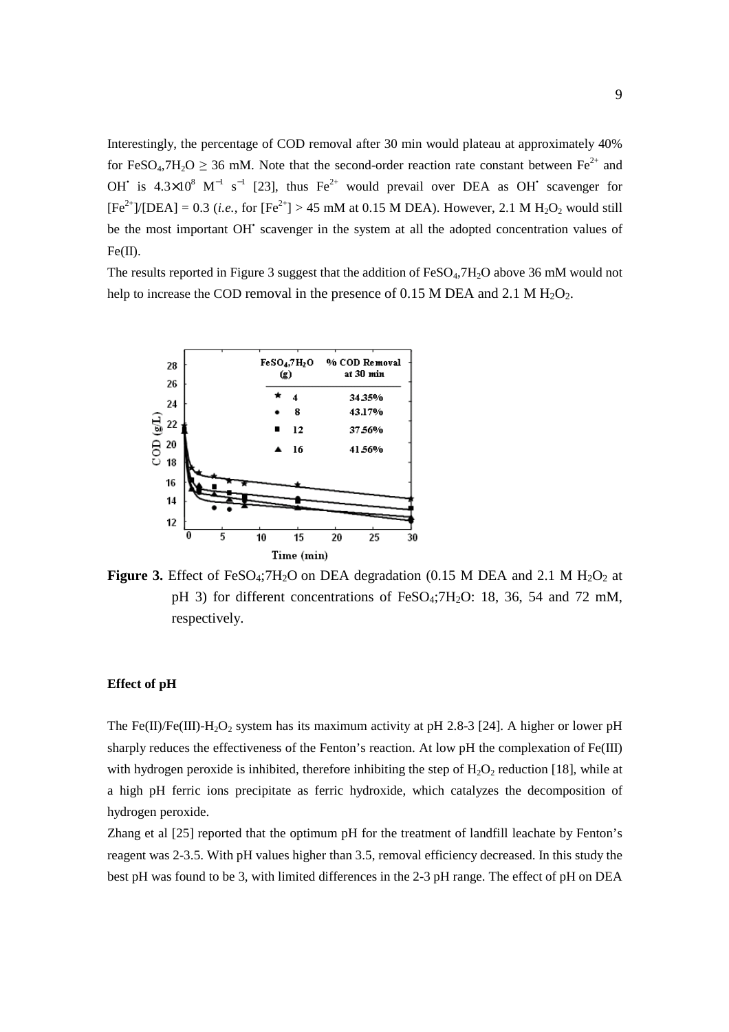Interestingly, the percentage of COD removal after 30 min would plateau at approximately 40% for FeSO<sub>4</sub>,7H<sub>2</sub>O  $\geq$  36 mM. Note that the second-order reaction rate constant between Fe<sup>2+</sup> and OH<sup>\*</sup> is  $4.3 \times 10^8$  M<sup>-1</sup> s<sup>-1</sup> [23], thus Fe<sup>2+</sup> would prevail over DEA as OH<sup>\*</sup> scavenger for  $[Fe^{2+}]/[DEA] = 0.3$  (*i.e.*, for  $[Fe^{2+}] > 45$  mM at 0.15 M DEA). However, 2.1 M H<sub>2</sub>O<sub>2</sub> would still be the most important OH<sup>+</sup> scavenger in the system at all the adopted concentration values of  $Fe(II).$ 

The results reported in Figure 3 suggest that the addition of  $FeSO<sub>4</sub>,7H<sub>2</sub>O$  above 36 mM would not help to increase the COD removal in the presence of 0.15 M DEA and 2.1 M  $H_2O_2$ .



**Figure 3.** Effect of FeSO<sub>4</sub>;7H<sub>2</sub>O on DEA degradation (0.15 M DEA and 2.1 M H<sub>2</sub>O<sub>2</sub> at pH 3) for different concentrations of FeSO<sub>4</sub>;7H<sub>2</sub>O: 18, 36, 54 and 72 mM, respectively.

## **Effect of pH**

The Fe(II)/Fe(III)-H<sub>2</sub>O<sub>2</sub> system has its maximum activity at pH 2.8-3 [24]. A higher or lower pH sharply reduces the effectiveness of the Fenton's reaction. At low pH the complexation of Fe(III) with hydrogen peroxide is inhibited, therefore inhibiting the step of  $H_2O_2$  reduction [18], while at a high pH ferric ions precipitate as ferric hydroxide, which catalyzes the decomposition of hydrogen peroxide.

Zhang et al [25] reported that the optimum pH for the treatment of landfill leachate by Fenton's reagent was 2-3.5. With pH values higher than 3.5, removal efficiency decreased. In this study the best pH was found to be 3, with limited differences in the 2-3 pH range. The effect of pH on DEA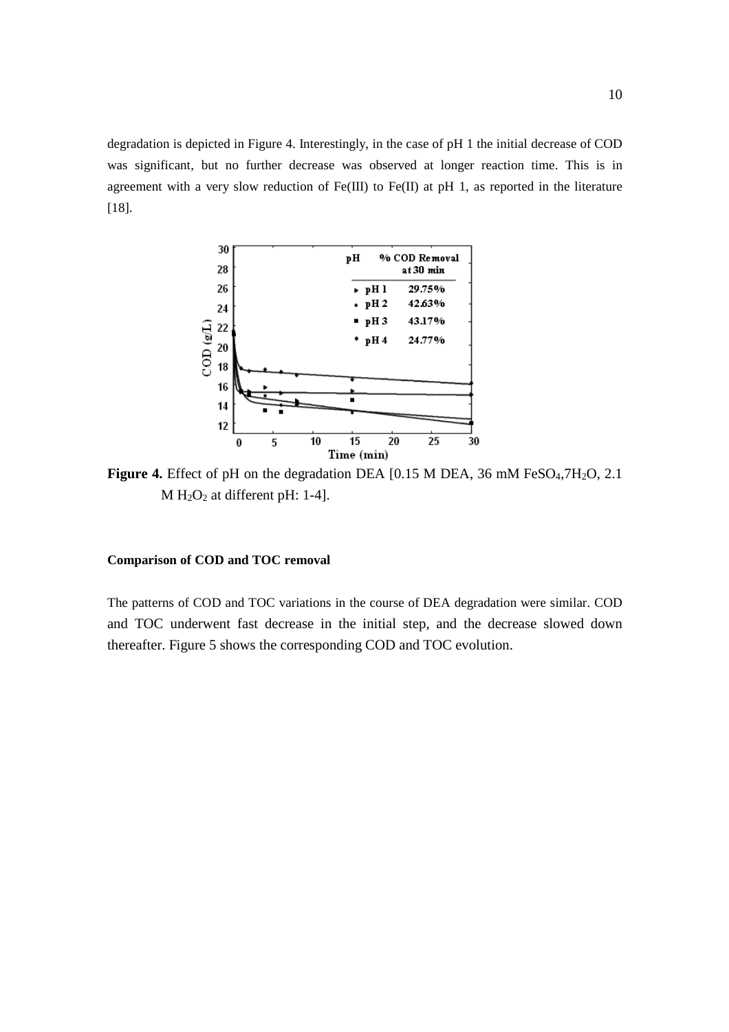degradation is depicted in Figure 4. Interestingly, in the case of pH 1 the initial decrease of COD was significant, but no further decrease was observed at longer reaction time. This is in agreement with a very slow reduction of  $Fe(III)$  to  $Fe(II)$  at pH 1, as reported in the literature [18].



**Figure 4.** Effect of pH on the degradation DEA [0.15 M DEA, 36 mM FeSO<sub>4</sub>,7H<sub>2</sub>O, 2.1  $M H<sub>2</sub>O<sub>2</sub>$  at different pH: 1-4].

# **Comparison of COD and TOC removal**

The patterns of COD and TOC variations in the course of DEA degradation were similar. COD and TOC underwent fast decrease in the initial step, and the decrease slowed down thereafter. Figure 5 shows the corresponding COD and TOC evolution.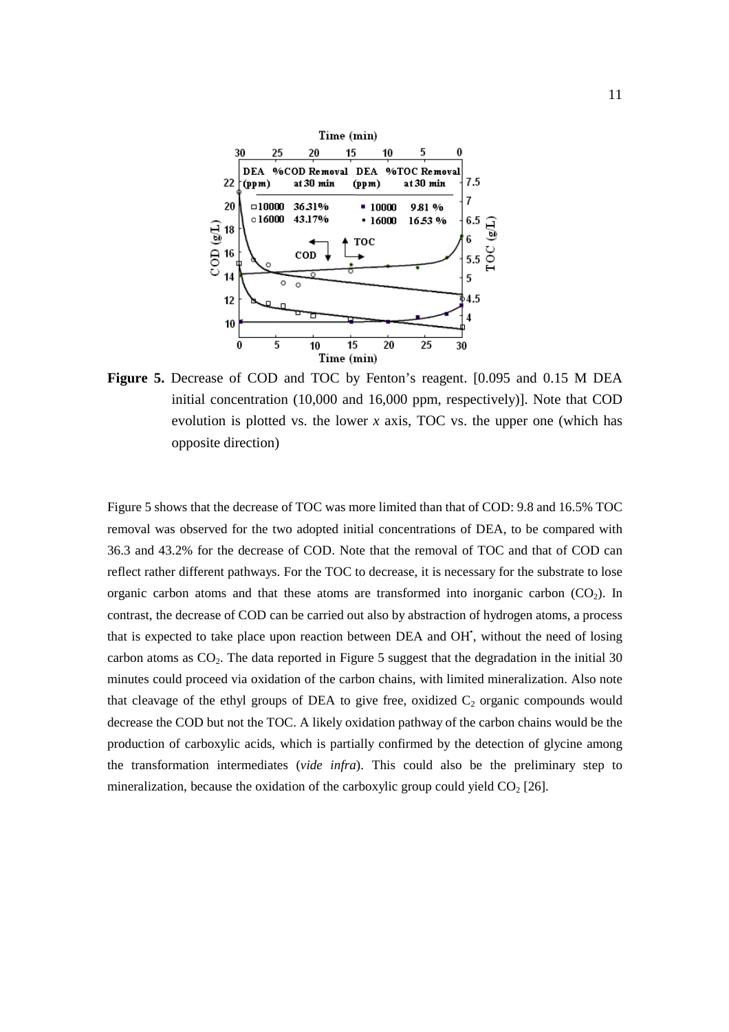

**Figure 5.** Decrease of COD and TOC by Fenton's reagent. [0.095 and 0.15 M DEA initial concentration (10,000 and 16,000 ppm, respectively)]. Note that COD evolution is plotted vs. the lower *x* axis, TOC vs. the upper one (which has opposite direction)

Figure 5 shows that the decrease of TOC was more limited than that of COD: 9.8 and 16.5% TOC removal was observed for the two adopted initial concentrations of DEA, to be compared with 36.3 and 43.2% for the decrease of COD. Note that the removal of TOC and that of COD can reflect rather different pathways. For the TOC to decrease, it is necessary for the substrate to lose organic carbon atoms and that these atoms are transformed into inorganic carbon  $(CO<sub>2</sub>)$ . In contrast, the decrease of COD can be carried out also by abstraction of hydrogen atoms, a process that is expected to take place upon reaction between DEA and OH', without the need of losing carbon atoms as  $CO<sub>2</sub>$ . The data reported in Figure 5 suggest that the degradation in the initial 30 minutes could proceed via oxidation of the carbon chains, with limited mineralization. Also note that cleavage of the ethyl groups of DEA to give free, oxidized  $C_2$  organic compounds would decrease the COD but not the TOC. A likely oxidation pathway of the carbon chains would be the production of carboxylic acids, which is partially confirmed by the detection of glycine among the transformation intermediates (*vide infra*). This could also be the preliminary step to mineralization, because the oxidation of the carboxylic group could yield  $CO<sub>2</sub>$  [26].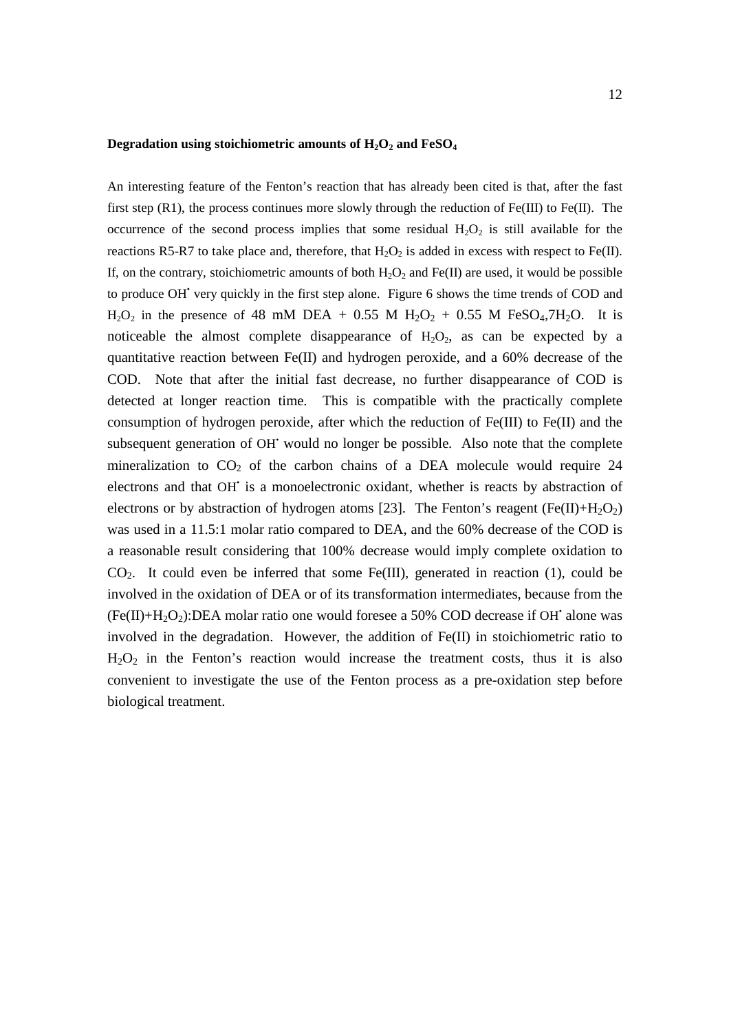# **Degradation using stoichiometric amounts of H2O2 and FeSO<sup>4</sup>**

An interesting feature of the Fenton's reaction that has already been cited is that, after the fast first step  $(R1)$ , the process continues more slowly through the reduction of Fe(III) to Fe(II). The occurrence of the second process implies that some residual  $H_2O_2$  is still available for the reactions R5-R7 to take place and, therefore, that  $H_2O_2$  is added in excess with respect to Fe(II). If, on the contrary, stoichiometric amounts of both  $H_2O_2$  and Fe(II) are used, it would be possible to produce OH' very quickly in the first step alone. Figure 6 shows the time trends of COD and  $H_2O_2$  in the presence of 48 mM DEA + 0.55 M  $H_2O_2$  + 0.55 M FeSO<sub>4</sub>,7H<sub>2</sub>O. It is noticeable the almost complete disappearance of  $H_2O_2$ , as can be expected by a quantitative reaction between  $Fe(II)$  and hydrogen peroxide, and a 60% decrease of the COD. Note that after the initial fast decrease, no further disappearance of COD is detected at longer reaction time. This is compatible with the practically complete consumption of hydrogen peroxide, after which the reduction of  $Fe(III)$  to  $Fe(II)$  and the subsequent generation of OH' would no longer be possible. Also note that the complete mineralization to  $CO<sub>2</sub>$  of the carbon chains of a DEA molecule would require 24 electrons and that OH' is a monoelectronic oxidant, whether is reacts by abstraction of electrons or by abstraction of hydrogen atoms [23]. The Fenton's reagent (Fe(II)+H<sub>2</sub>O<sub>2</sub>) was used in a 11.5:1 molar ratio compared to DEA, and the 60% decrease of the COD is a reasonable result considering that 100% decrease would imply complete oxidation to  $CO<sub>2</sub>$ . It could even be inferred that some Fe(III), generated in reaction (1), could be involved in the oxidation of DEA or of its transformation intermediates, because from the  $(Fe(II) + H<sub>2</sub>O<sub>2</sub>)$ :DEA molar ratio one would foresee a 50% COD decrease if OH<sup>\*</sup> alone was involved in the degradation. However, the addition of Fe(II) in stoichiometric ratio to  $H<sub>2</sub>O<sub>2</sub>$  in the Fenton's reaction would increase the treatment costs, thus it is also convenient to investigate the use of the Fenton process as a pre-oxidation step before biological treatment.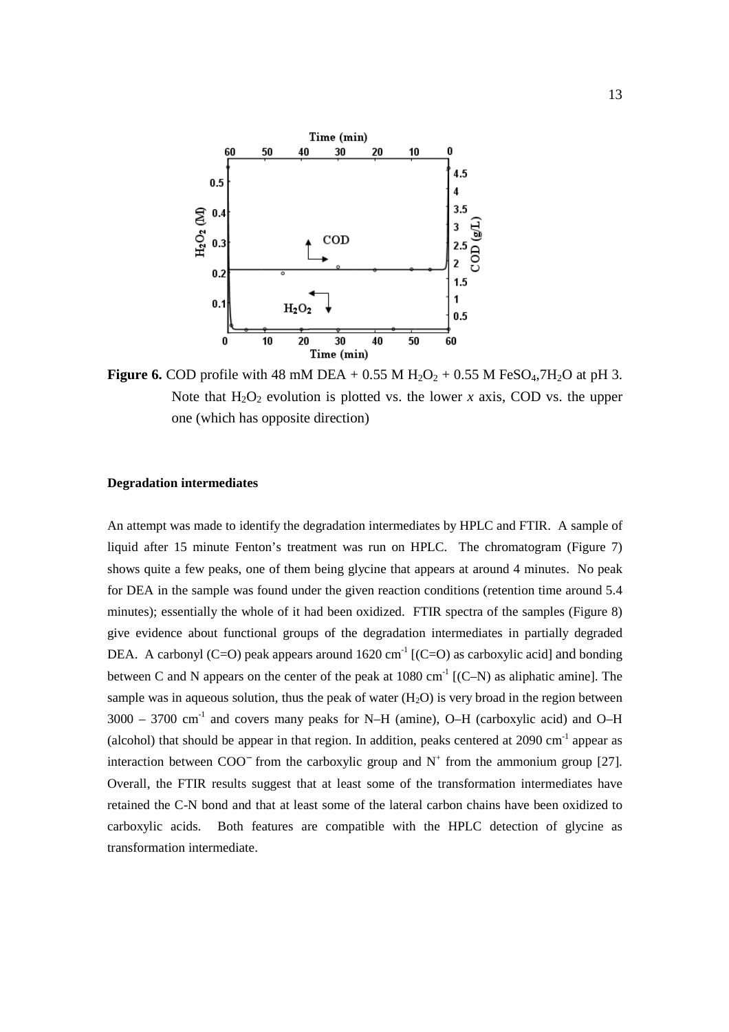

**Figure 6.** COD profile with 48 mM DEA +  $0.55$  M H<sub>2</sub>O<sub>2</sub> +  $0.55$  M FeSO<sub>4</sub>,7H<sub>2</sub>O at pH 3. Note that  $H_2O_2$  evolution is plotted vs. the lower *x* axis, COD vs. the upper one (which has opposite direction)

#### **Degradation intermediates**

An attempt was made to identify the degradation intermediates by HPLC and FTIR. A sample of liquid after 15 minute Fenton's treatment was run on HPLC. The chromatogram (Figure 7) shows quite a few peaks, one of them being glycine that appears at around 4 minutes. No peak for DEA in the sample was found under the given reaction conditions (retention time around 5.4 minutes); essentially the whole of it had been oxidized. FTIR spectra of the samples (Figure 8) give evidence about functional groups of the degradation intermediates in partially degraded DEA. A carbonyl (C=O) peak appears around 1620 cm<sup>-1</sup> [(C=O) as carboxylic acid] and bonding between C and N appears on the center of the peak at  $1080 \text{ cm}^{-1}$  [(C–N) as aliphatic amine]. The sample was in aqueous solution, thus the peak of water  $(H<sub>2</sub>O)$  is very broad in the region between  $3000 - 3700$  cm<sup>-1</sup> and covers many peaks for N–H (amine), O–H (carboxylic acid) and O–H (alcohol) that should be appear in that region. In addition, peaks centered at  $2090 \text{ cm}^{-1}$  appear as interaction between  $COO<sup>-</sup>$  from the carboxylic group and  $N<sup>+</sup>$  from the ammonium group [27]. Overall, the FTIR results suggest that at least some of the transformation intermediates have retained the C-N bond and that at least some of the lateral carbon chains have been oxidized to carboxylic acids. Both features are compatible with the HPLC detection of glycine as transformation intermediate.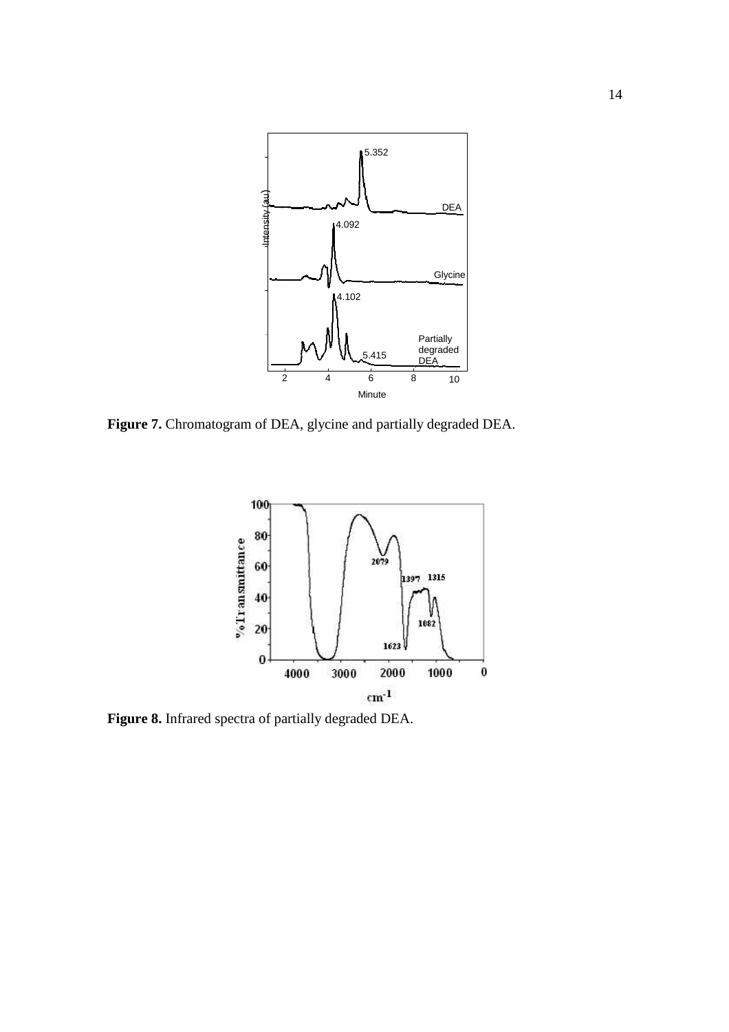

**Figure 7.** Chromatogram of DEA, glycine and partially degraded DEA.



**Figure 8.** Infrared spectra of partially degraded DEA.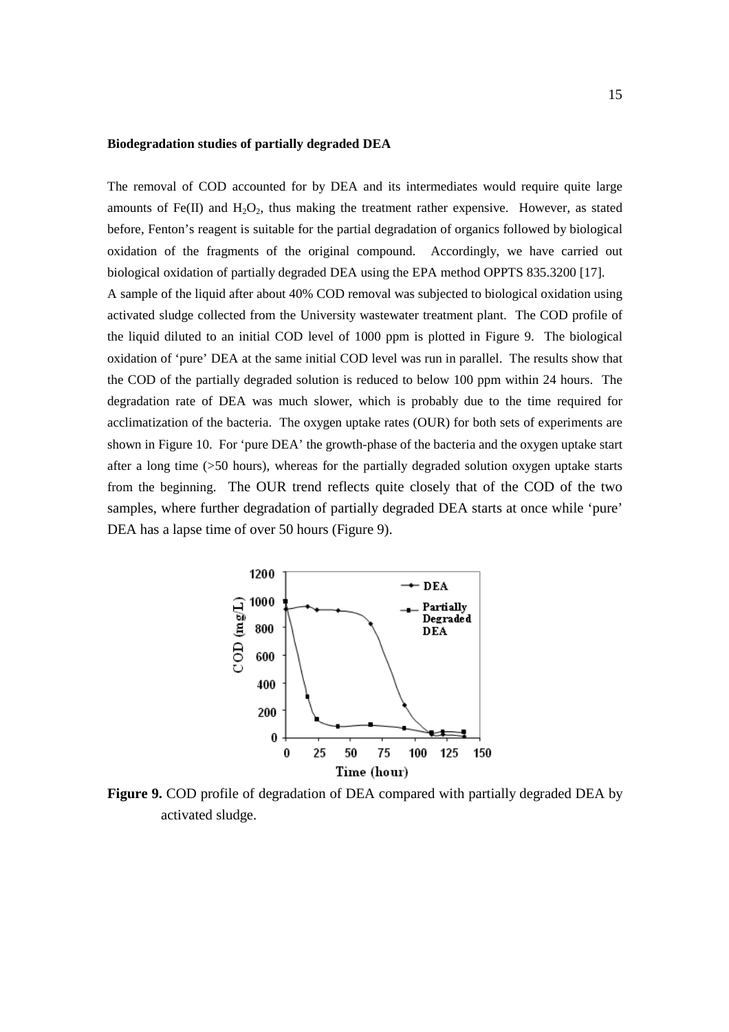## **Biodegradation studies of partially degraded DEA**

The removal of COD accounted for by DEA and its intermediates would require quite large amounts of Fe(II) and  $H_2O_2$ , thus making the treatment rather expensive. However, as stated before, Fenton's reagent is suitable for the partial degradation of organics followed by biological oxidation of the fragments of the original compound. Accordingly, we have carried out biological oxidation of partially degraded DEA using the EPA method OPPTS 835.3200 [17]. A sample of the liquid after about 40% COD removal was subjected to biological oxidation using activated sludge collected from the University wastewater treatment plant. The COD profile of the liquid diluted to an initial COD level of 1000 ppm is plotted in Figure 9. The biological oxidation of 'pure' DEA at the same initial COD level was run in parallel. The results show that the COD of the partially degraded solution is reduced to below 100 ppm within 24 hours. The degradation rate of DEA was much slower, which is probably due to the time required for acclimatization of the bacteria. The oxygen uptake rates (OUR) for both sets of experiments are shown in Figure 10. For 'pure DEA' the growth-phase of the bacteria and the oxygen uptake start after a long time (>50 hours), whereas for the partially degraded solution oxygen uptake starts from the beginning. The OUR trend reflects quite closely that of the COD of the two samples, where further degradation of partially degraded DEA starts at once while 'pure' DEA has a lapse time of over 50 hours (Figure 9).



**Figure 9.** COD profile of degradation of DEA compared with partially degraded DEA by activated sludge.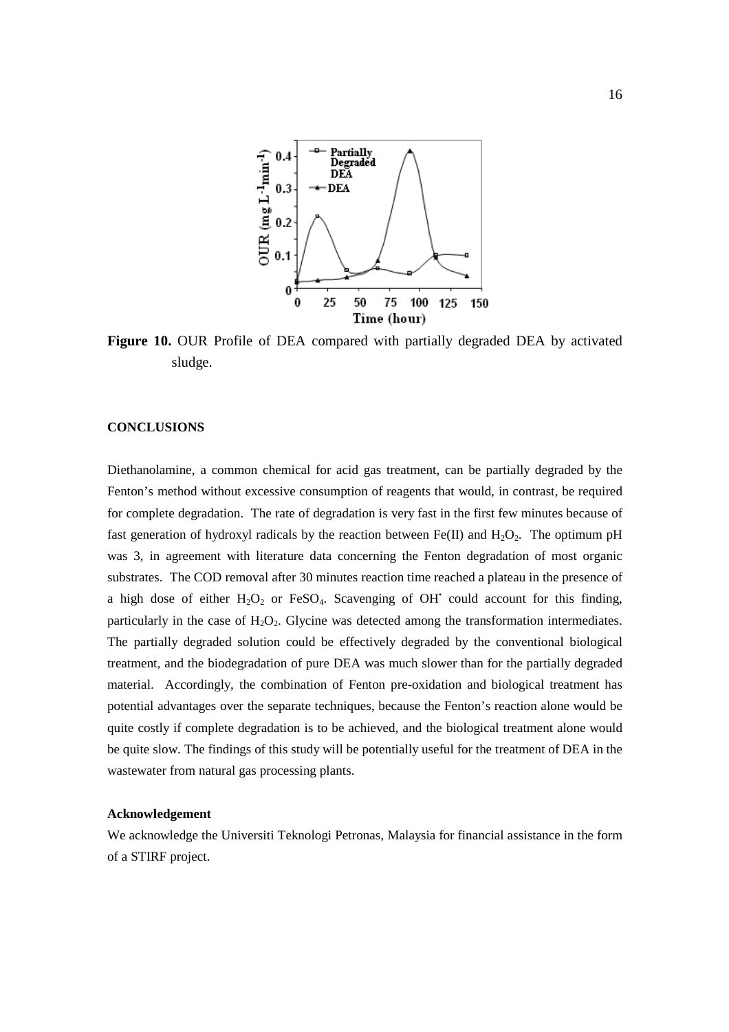

**Figure 10.** OUR Profile of DEA compared with partially degraded DEA by activated sludge.

# **CONCLUSIONS**

Diethanolamine, a common chemical for acid gas treatment, can be partially degraded by the Fenton's method without excessive consumption of reagents that would, in contrast, be required for complete degradation. The rate of degradation is very fast in the first few minutes because of fast generation of hydroxyl radicals by the reaction between Fe(II) and H<sub>2</sub>O<sub>2</sub>. The optimum pH was 3, in agreement with literature data concerning the Fenton degradation of most organic substrates. The COD removal after 30 minutes reaction time reached a plateau in the presence of a high dose of either  $H_2O_2$  or FeSO<sub>4</sub>. Scavenging of OH<sup>\*</sup> could account for this finding, particularly in the case of  $H_2O_2$ . Glycine was detected among the transformation intermediates. The partially degraded solution could be effectively degraded by the conventional biological treatment, and the biodegradation of pure DEA was much slower than for the partially degraded material. Accordingly, the combination of Fenton pre-oxidation and biological treatment has potential advantages over the separate techniques, because the Fenton's reaction alone would be quite costly if complete degradation is to be achieved, and the biological treatment alone would be quite slow. The findings of this study will be potentially useful for the treatment of DEA in the wastewater from natural gas processing plants.

#### **Acknowledgement**

We acknowledge the Universiti Teknologi Petronas, Malaysia for financial assistance in the form of a STIRF project.